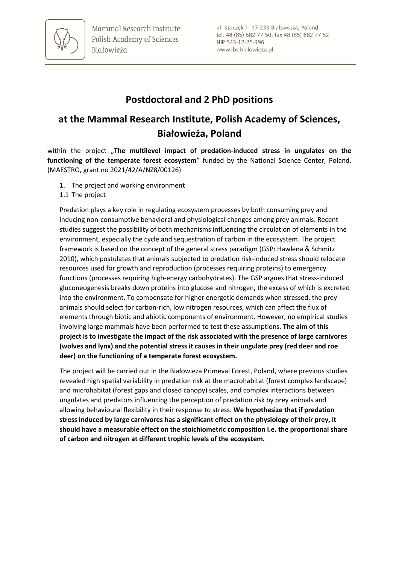

## **Postdoctoral and 2 PhD positions**

# **at the Mammal Research Institute, Polish Academy of Sciences, Białowieża, Poland**

within the project "The multilevel impact of predation-induced stress in ungulates on the **functioning of the temperate forest ecosystem**" funded by the National Science Center, Poland, (MAESTRO, grant no 2021/42/A/NZ8/00126)

- 1. The project and working environment
- 1.1 The project

Predation plays a key role in regulating ecosystem processes by both consuming prey and inducing non-consumptive behavioral and physiological changes among prey animals. Recent studies suggest the possibility of both mechanisms influencing the circulation of elements in the environment, especially the cycle and sequestration of carbon in the ecosystem. The project framework is based on the concept of the general stress paradigm (GSP: Hawlena & Schmitz 2010), which postulates that animals subjected to predation risk-induced stress should relocate resources used for growth and reproduction (processes requiring proteins) to emergency functions (processes requiring high-energy carbohydrates). The GSP argues that stress-induced gluconeogenesis breaks down proteins into glucose and nitrogen, the excess of which is excreted into the environment. To compensate for higher energetic demands when stressed, the prey animals should select for carbon-rich, low nitrogen resources, which can affect the flux of elements through biotic and abiotic components of environment. However, no empirical studies involving large mammals have been performed to test these assumptions. **The aim of this project is to investigate the impact of the risk associated with the presence of large carnivores (wolves and lynx) and the potential stress it causes in their ungulate prey (red deer and roe deer) on the functioning of a temperate forest ecosystem.**

The project will be carried out in the Białowieża Primeval Forest, Poland, where previous studies revealed high spatial variability in predation risk at the macrohabitat (forest complex landscape) and microhabitat (forest gaps and closed canopy) scales, and complex interactions between ungulates and predators influencing the perception of predation risk by prey animals and allowing behavioural flexibility in their response to stress. **We hypothesize that if predation stress induced by large carnivores has a significant effect on the physiology of their prey, it should have a measurable effect on the stoichiometric composition i.e. the proportional share of carbon and nitrogen at different trophic levels of the ecosystem.**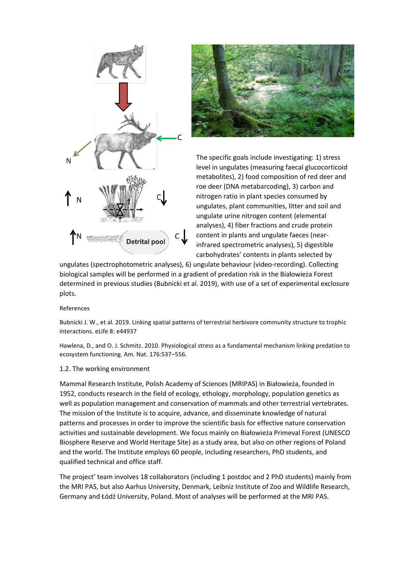



The specific goals include investigating: 1) stress level in ungulates (measuring faecal glucocorticoid metabolites), 2) food composition of red deer and roe deer (DNA metabarcoding), 3) carbon and nitrogen ratio in plant species consumed by ungulates, plant communities, litter and soil and ungulate urine nitrogen content (elemental analyses), 4) fiber fractions and crude protein content in plants and ungulate faeces (nearinfrared spectrometric analyses), 5) digestible carbohydrates' contents in plants selected by

ungulates (spectrophotometric analyses), 6) ungulate behaviour (video-recording). Collecting biological samples will be performed in a gradient of predation risk in the Białowieża Forest determined in previous studies (Bubnicki et al. 2019), with use of a set of experimental exclosure plots.

#### References

Bubnicki J. W., et al. 2019. Linking spatial patterns of terrestrial herbivore community structure to trophic interactions. eLife 8: e44937

Hawlena, D., and O. J. Schmitz. 2010. Physiological stress as a fundamental mechanism linking predation to ecosystem functioning. Am. Nat. 176:537–556.

#### 1.2. The working environment

Mammal Research Institute, Polish Academy of Sciences (MRIPAS) in Białowieża, founded in 1952, conducts research in the field of ecology, ethology, morphology, population genetics as well as population management and conservation of mammals and other terrestrial vertebrates. The mission of the Institute is to acquire, advance, and disseminate knowledge of natural patterns and processes in order to improve the scientific basis for effective nature conservation activities and sustainable development. We focus mainly on Białowieża Primeval Forest (UNESCO Biosphere Reserve and World Heritage Site) as a study area, but also on other regions of Poland and the world. The Institute employs 60 people, including researchers, PhD students, and qualified technical and office staff.

The project' team involves 18 collaborators (including 1 postdoc and 2 PhD students) mainly from the MRI PAS, but also Aarhus University, Denmark, Leibniz Institute of Zoo and Wildlife Research, Germany and Łódź University, Poland. Most of analyses will be performed at the MRI PAS.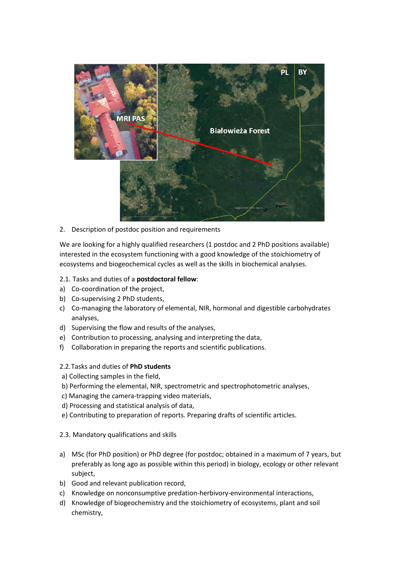

2. Description of postdoc position and requirements

We are looking for a highly qualified researchers (1 postdoc and 2 PhD positions available) interested in the ecosystem functioning with a good knowledge of the stoichiometry of ecosystems and biogeochemical cycles as well as the skills in biochemical analyses.

## 2.1. Tasks and duties of a **postdoctoral fellow**:

- a) Co-coordination of the project,
- b) Co-supervising 2 PhD students,
- c) Co-managing the laboratory of elemental, NIR, hormonal and digestible carbohydrates analyses,
- d) Supervising the flow and results of the analyses,
- e) Contribution to processing, analysing and interpreting the data,
- f) Collaboration in preparing the reports and scientific publications.
- 2.2.Tasks and duties of **PhD students**
- a) Collecting samples in the field,
- b) Performing the elemental, NIR, spectrometric and spectrophotometric analyses,
- c) Managing the camera-trapping video materials,
- d) Processing and statistical analysis of data,
- e) Contributing to preparation of reports. Preparing drafts of scientific articles.
- 2.3. Mandatory qualifications and skills
- a) MSc (for PhD position) or PhD degree (for postdoc; obtained in a maximum of 7 years, but preferably as long ago as possible within this period) in biology, ecology or other relevant subject,
- b) Good and relevant publication record,
- c) Knowledge on nonconsumptive predation-herbivory-environmental interactions,
- d) Knowledge of biogeochemistry and the stoichiometry of ecosystems, plant and soil chemistry,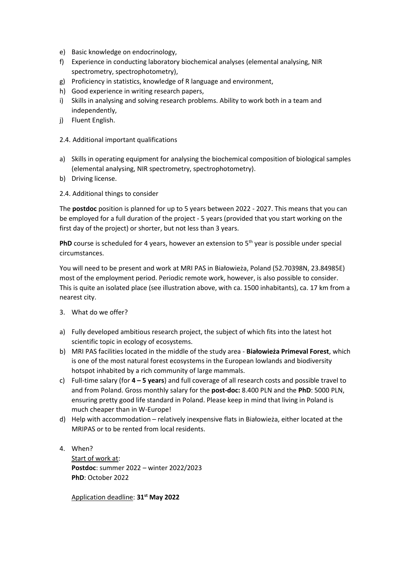- e) Basic knowledge on endocrinology,
- f) Experience in conducting laboratory biochemical analyses (elemental analysing, NIR spectrometry, spectrophotometry),
- g) Proficiency in statistics, knowledge of R language and environment,
- h) Good experience in writing research papers,
- i) Skills in analysing and solving research problems. Ability to work both in a team and independently,
- j) Fluent English.
- 2.4. Additional important qualifications
- a) Skills in operating equipment for analysing the biochemical composition of biological samples (elemental analysing, NIR spectrometry, spectrophotometry).
- b) Driving license.
- 2.4. Additional things to consider

The **postdoc** position is planned for up to 5 years between 2022 - 2027. This means that you can be employed for a full duration of the project - 5 years (provided that you start working on the first day of the project) or shorter, but not less than 3 years.

**PhD** course is scheduled for 4 years, however an extension to 5<sup>th</sup> year is possible under special circumstances.

You will need to be present and work at MRI PAS in Białowieża, Poland (52.70398N, 23.84985E) most of the employment period. Periodic remote work, however, is also possible to consider. This is quite an isolated place (see illustration above, with ca. 1500 inhabitants), ca. 17 km from a nearest city.

- 3. What do we offer?
- a) Fully developed ambitious research project, the subject of which fits into the latest hot scientific topic in ecology of ecosystems.
- b) MRI PAS facilities located in the middle of the study area **Białowieża Primeval Forest**, which is one of the most natural forest ecosystems in the European lowlands and biodiversity hotspot inhabited by a rich community of large mammals.
- c) Full-time salary (for **4 – 5 years**) and full coverage of all research costs and possible travel to and from Poland. Gross monthly salary for the **post-doc:** 8.400 PLN and the **PhD**: 5000 PLN, ensuring pretty good life standard in Poland. Please keep in mind that living in Poland is much cheaper than in W-Europe!
- d) Help with accommodation relatively inexpensive flats in Białowieża, either located at the MRIPAS or to be rented from local residents.
- 4. When? Start of work at: **Postdoc**: summer 2022 – winter 2022/2023 **PhD**: October 2022

Application deadline: **31 st May 2022**